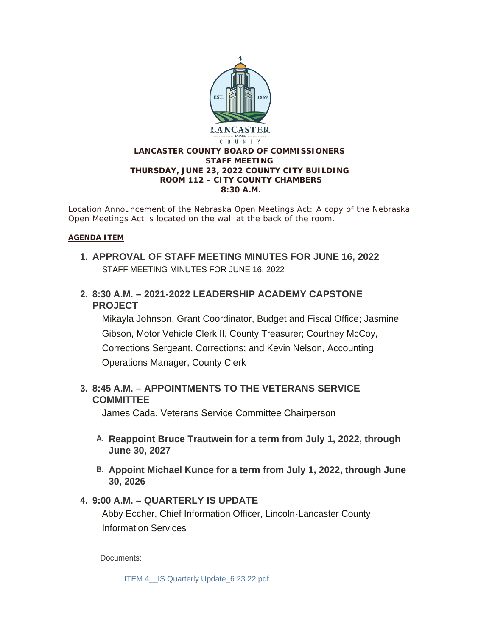

*Location Announcement of the Nebraska Open Meetings Act: A copy of the Nebraska Open Meetings Act is located on the wall at the back of the room.*

#### **AGENDA ITEM**

- **APPROVAL OF STAFF MEETING MINUTES FOR JUNE 16, 2022 1.** STAFF MEETING MINUTES FOR JUNE 16, 2022
- **8:30 A.M. – 2021-2022 LEADERSHIP ACADEMY CAPSTONE 2. PROJECT**

Mikayla Johnson, Grant Coordinator, Budget and Fiscal Office; Jasmine Gibson, Motor Vehicle Clerk II, County Treasurer; Courtney McCoy, Corrections Sergeant, Corrections; and Kevin Nelson, Accounting Operations Manager, County Clerk

## **8:45 A.M. – APPOINTMENTS TO THE VETERANS SERVICE 3. COMMITTEE**

James Cada, Veterans Service Committee Chairperson

- **Reappoint Bruce Trautwein for a term from July 1, 2022, through A. June 30, 2027**
- **Appoint Michael Kunce for a term from July 1, 2022, through June B. 30, 2026**

### **9:00 A.M. – QUARTERLY IS UPDATE 4.**

Abby Eccher, Chief Information Officer, Lincoln-Lancaster County Information Services

Documents:

[ITEM 4\\_\\_IS Quarterly Update\\_6.23.22.pdf](https://www.lancaster.ne.gov/AgendaCenter/ViewFile/Item/5964?fileID=8415)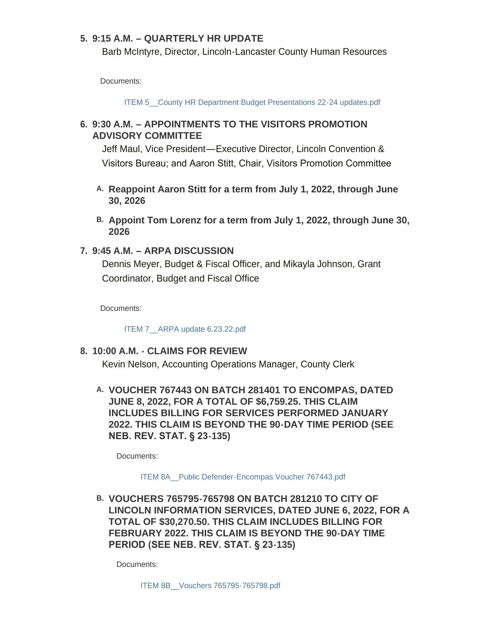### **9:15 A.M. – QUARTERLY HR UPDATE 5.**

Barb McIntyre, Director, Lincoln-Lancaster County Human Resources

Documents:

ITEM 5 County HR Department Budget Presentations 22-24 updates.pdf

## **9:30 A.M. – APPOINTMENTS TO THE VISITORS PROMOTION 6. ADVISORY COMMITTEE**

Jeff Maul, Vice President—Executive Director, Lincoln Convention & Visitors Bureau; and Aaron Stitt, Chair, Visitors Promotion Committee

- **Reappoint Aaron Stitt for a term from July 1, 2022, through June A. 30, 2026**
- **Appoint Tom Lorenz for a term from July 1, 2022, through June 30, B. 2026**

### **9:45 A.M. – ARPA DISCUSSION 7.**

Dennis Meyer, Budget & Fiscal Officer, and Mikayla Johnson, Grant Coordinator, Budget and Fiscal Office

Documents:

[ITEM 7\\_\\_ARPA update 6.23.22.pdf](https://www.lancaster.ne.gov/AgendaCenter/ViewFile/Item/5969?fileID=8406)

### **10:00 A.M. - CLAIMS FOR REVIEW 8.**

Kevin Nelson, Accounting Operations Manager, County Clerk

## **VOUCHER 767443 ON BATCH 281401 TO ENCOMPAS, DATED A. JUNE 8, 2022, FOR A TOTAL OF \$6,759.25. THIS CLAIM INCLUDES BILLING FOR SERVICES PERFORMED JANUARY 2022. THIS CLAIM IS BEYOND THE 90-DAY TIME PERIOD (SEE NEB. REV. STAT. § 23-135)**

Documents:

#### [ITEM 8A\\_\\_Public Defender-Encompas Voucher 767443.pdf](https://www.lancaster.ne.gov/AgendaCenter/ViewFile/Item/5971?fileID=8407)

**VOUCHERS 765795-765798 ON BATCH 281210 TO CITY OF B. LINCOLN INFORMATION SERVICES, DATED JUNE 6, 2022, FOR A TOTAL OF \$30,270.50. THIS CLAIM INCLUDES BILLING FOR FEBRUARY 2022. THIS CLAIM IS BEYOND THE 90-DAY TIME PERIOD (SEE NEB. REV. STAT. § 23-135)**

Documents: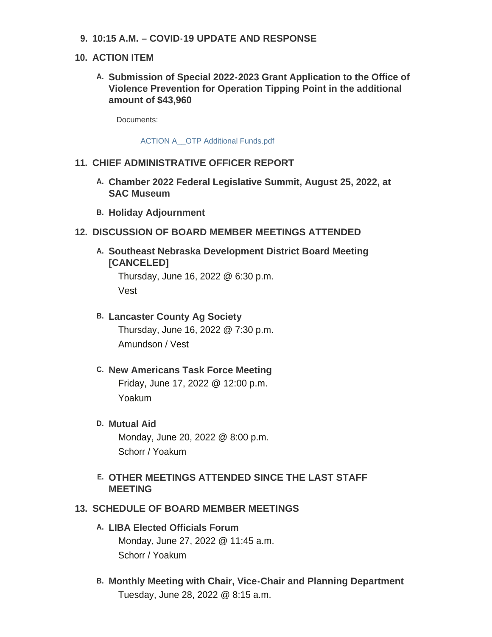**10:15 A.M. – COVID-19 UPDATE AND RESPONSE 9.**

## **ACTION ITEM 10.**

**Submission of Special 2022-2023 Grant Application to the Office of A. Violence Prevention for Operation Tipping Point in the additional amount of \$43,960**

Documents:

[ACTION A\\_\\_OTP Additional Funds.pdf](https://www.lancaster.ne.gov/AgendaCenter/ViewFile/Item/5973?fileID=8412)

## **CHIEF ADMINISTRATIVE OFFICER REPORT 11.**

- **Chamber 2022 Federal Legislative Summit, August 25, 2022, at A. SAC Museum**
- **Holiday Adjournment B.**

### **DISCUSSION OF BOARD MEMBER MEETINGS ATTENDED 12.**

**Southeast Nebraska Development District Board Meeting A. [CANCELED]** Thursday, June 16, 2022 @ 6:30 p.m.

Vest

- **Lancaster County Ag Society B.** Thursday, June 16, 2022 @ 7:30 p.m. Amundson / Vest
- **New Americans Task Force Meeting C.** Friday, June 17, 2022 @ 12:00 p.m. Yoakum
- **Mutual Aid D.** Monday, June 20, 2022 @ 8:00 p.m. Schorr / Yoakum
- **OTHER MEETINGS ATTENDED SINCE THE LAST STAFF E. MEETING**

### **13. SCHEDULE OF BOARD MEMBER MEETINGS**

- **LIBA Elected Officials Forum A.** Monday, June 27, 2022 @ 11:45 a.m. Schorr / Yoakum
- **Monthly Meeting with Chair, Vice-Chair and Planning Department B.** Tuesday, June 28, 2022 @ 8:15 a.m.